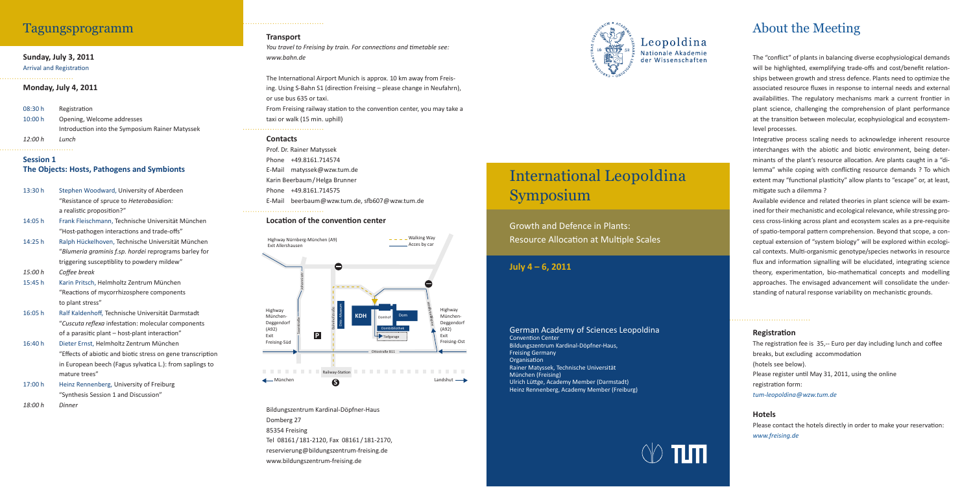## About the Meeting

The "conflict" of plants in balancing diverse ecophysiological demands will be highlighted, exemplifying trade-offs and cost/benefit relationships between growth and stress defence. Plants need to optimize the associated resource fluxes in response to internal needs and external availabilities. The regulatory mechanisms mark a current frontier in plant science, challenging the comprehension of plant performance at the transition between molecular, ecophysiological and ecosystemlevel processes.

Integrative process scaling needs to acknowledge inherent resource interchanges with the abiotic and biotic environment, being determinants of the plant's resource allocation. Are plants caught in a "dilemma" while coping with conflicting resource demands ? To which extent may "functional plasticity" allow plants to "escape" or, at least, mitigate such a dilemma?

Available evidence and related theories in plant science will be examined for their mechanistic and ecological relevance, while stressing process cross-linking across plant and ecosystem scales as a pre-requisite of spatio-temporal pattern comprehension. Beyond that scope, a conceptual extension of "system biology" will be explored within ecological contexts. Multi-organismic genotype/species networks in resource flux and information signalling will be elucidated, integrating science theory, experimentation, bio-mathematical concepts and modelling approaches. The envisaged advancement will consolidate the understanding of natural response variability on mechanistic grounds.

#### **Registration**

The registration fee is 35,-- Euro per day including lunch and coffee breaks, but excluding accommodation (hotels see below). Please register until May 31, 2011, using the online registration form: *tum-leopoldina @ wzw.tum.de*

Please contact the hotels directly in order to make your reservation: *www.freising.de*

Growth and Defence in Plants: Resource Allocation at Multiple Scales

*You travel to Freising by train. For connections and timetable see: www.bahn.de*

#### **Hotels**

The International Airport Munich is approx. 10 km away from Freising. Using S-Bahn S1 (direction Freising – please change in Neufahrn), or use bus 635 or taxi. From Freising railway station to the convention center, you may take a taxi or walk (15 min. uphill)

# International Leopoldina Symposium

## **July 4 – 6, 2011**

#### German Academy of Sciences Leopoldina Convention Center Bildungszentrum Kardinal-Döpfner-Haus, Freising Germany Organisation Rainer Matyssek, Technische Universität München (Freising) Ulrich Lüttge, Academy Member (Darmstadt) Heinz Rennenberg, Academy Member (Freiburg)



## **Sunday, July 3, 2011**

#### **Arrival and Registration**

**Monday, July 4, 2011**

| 08:30 h | Registration                                    |
|---------|-------------------------------------------------|
| 10:00 h | Opening, Welcome addresses                      |
|         | Introduction into the Symposium Rainer Matyssek |
| 12:00 h | Lunch                                           |

#### **Session 1 The Objects: Hosts, Pathogens and Symbionts**

- 13:30 h Stephen Woodward, University of Aberdeen "Resistance of spruce to *Heterobasidion:* a realistic proposition?"
- 14:05 h Frank Fleischmann, Technische Universität München "Host-pathogen interactions and trade-offs"
- 14:25 h Ralph Hückelhoven, Technische Universität München "*Blumeria graminis f.sp. hordei* reprograms barley for triggering susceptiblity to powdery mildew"
- 15:00 h Coffee break
- 15:45 h Karin Pritsch, Helmholtz Zentrum München "Reactions of mycorrhizosphere components to plant stress"
- 16:05 h Ralf Kaldenhoff, Technische Universität Darmstadt "Cuscuta reflexa infestation: molecular components of a parasitic plant  $-$  host-plant interaction"
- 16:40 h Dieter Ernst, Helmholtz Zentrum München "Effects of abiotic and biotic stress on gene transcription in European beech (Fagus sylvatica L.): from saplings to mature trees"
- 17:00 h Heinz Rennenberg, University of Freiburg "Synthesis Session 1 and Discussion"
- *18:00 h Dinner*

## **Transport**

#### **Contacts**

Prof. Dr. Rainer Matyssek Phone +49.8161.714574 E-Mail matyssek @ wzw.tum.de Karin Beerbaum / Helga Brunner Phone +49.8161.714575 E-Mail beerbaum @ wzw.tum.de, sfb 607 @ wzw.tum.de

#### **Location of the convention center**

## Tagungsprogramm



Bildungszentrum Kardinal-Döpfner-Haus Domberg 27 85354 Freising Tel 08161 / 181-2120, Fax 08161 / 181-2170, reservierung @ bildungszentrum-freising.de www.bildungszentrum-freising.de